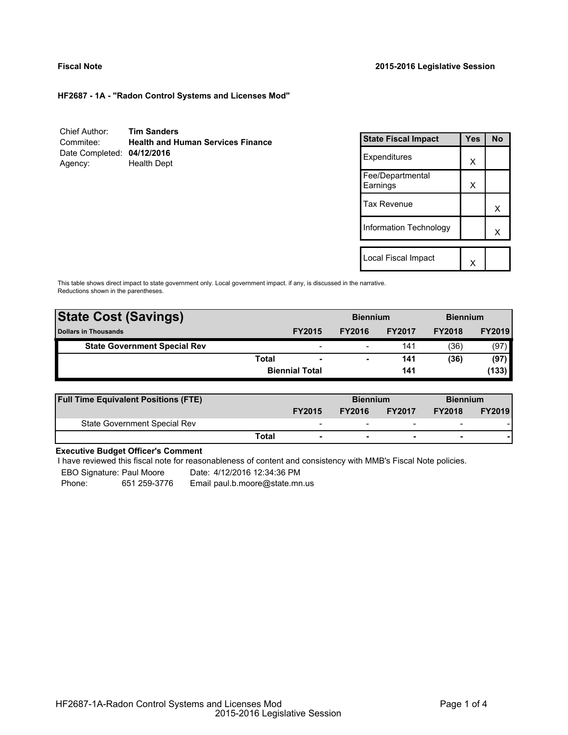# **Fiscal Note 2015-2016 Legislative Session**

**HF2687 - 1A - "Radon Control Systems and Licenses Mod"**

| Chief Author:              | <b>Tim Sanders</b>                       |
|----------------------------|------------------------------------------|
| Commitee:                  | <b>Health and Human Services Finance</b> |
| Date Completed: 04/12/2016 |                                          |
| Agency:                    | <b>Health Dept</b>                       |

| <b>State Fiscal Impact</b>   | Yes | <b>No</b> |
|------------------------------|-----|-----------|
| Expenditures                 | X   |           |
| Fee/Departmental<br>Earnings | X   |           |
| Tax Revenue                  |     | x         |
| Information Technology       |     | x         |
| Local Fiscal Impact          |     |           |
|                              |     |           |

This table shows direct impact to state government only. Local government impact. if any, is discussed in the narrative. Reductions shown in the parentheses.

| <b>State Cost (Savings)</b>         |              |                          | <b>Biennium</b> |               | <b>Biennium</b> |               |
|-------------------------------------|--------------|--------------------------|-----------------|---------------|-----------------|---------------|
| <b>Dollars in Thousands</b>         |              | <b>FY2015</b>            | <b>FY2016</b>   | <b>FY2017</b> | <b>FY2018</b>   | <b>FY2019</b> |
| <b>State Government Special Rev</b> |              | $\overline{\phantom{0}}$ |                 | 141           | (36)            | (97)          |
|                                     | <b>Total</b> |                          | -               | 141           | (36)            | (97)          |
|                                     |              | <b>Biennial Total</b>    |                 | 141           |                 | (133)         |
|                                     |              |                          |                 |               |                 |               |

| <b>Full Time Equivalent Positions (FTE)</b> |       |                          | <b>Biennium</b>          |                          | <b>Biennium</b>          |               |
|---------------------------------------------|-------|--------------------------|--------------------------|--------------------------|--------------------------|---------------|
|                                             |       | <b>FY2015</b>            | <b>FY2016</b>            | <b>FY2017</b>            | <b>FY2018</b>            | <b>FY2019</b> |
| State Government Special Rev                |       | $\overline{\phantom{0}}$ | $\overline{\phantom{0}}$ | $\overline{\phantom{0}}$ | $\overline{\phantom{0}}$ |               |
|                                             | Total | ۰                        | ۰                        | $\overline{\phantom{0}}$ |                          |               |

# **Executive Budget Officer's Comment**

I have reviewed this fiscal note for reasonableness of content and consistency with MMB's Fiscal Note policies.

EBO Signature: Paul Moore Date: 4/12/2016 12:34:36 PM

Phone: 651 259-3776 Email paul.b.moore@state.mn.us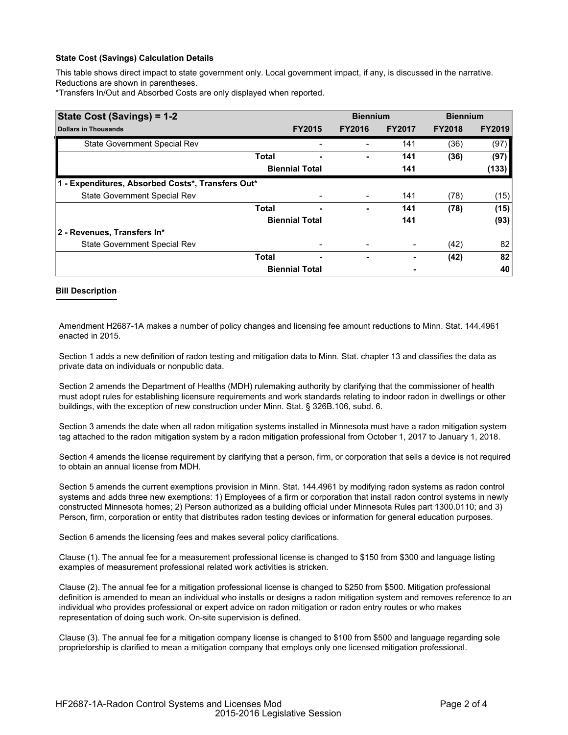# **State Cost (Savings) Calculation Details**

This table shows direct impact to state government only. Local government impact, if any, is discussed in the narrative. Reductions are shown in parentheses.

\*Transfers In/Out and Absorbed Costs are only displayed when reported.

| State Cost (Savings) = 1-2                        |              |                       | <b>Biennium</b> |               | <b>Biennium</b> |               |
|---------------------------------------------------|--------------|-----------------------|-----------------|---------------|-----------------|---------------|
| <b>Dollars in Thousands</b>                       |              | <b>FY2015</b>         | <b>FY2016</b>   | <b>FY2017</b> | <b>FY2018</b>   | <b>FY2019</b> |
| State Government Special Rev                      |              |                       |                 | 141           | (36)            | (97)          |
|                                                   | <b>Total</b> |                       |                 | 141           | (36)            | (97)          |
|                                                   |              | <b>Biennial Total</b> |                 | 141           |                 | (133)         |
| 1 - Expenditures, Absorbed Costs*, Transfers Out* |              |                       |                 |               |                 |               |
| State Government Special Rev                      |              |                       |                 | 141           | (78)            | (15)          |
|                                                   | <b>Total</b> |                       | ٠               | 141           | (78)            | (15)          |
|                                                   |              | <b>Biennial Total</b> |                 | 141           |                 | (93)          |
| 2 - Revenues, Transfers In*                       |              |                       |                 |               |                 |               |
| State Government Special Rev                      |              |                       |                 | -             | (42)            | 82            |
|                                                   | <b>Total</b> | -                     | ۰               |               | (42)            | 82            |
|                                                   |              | <b>Biennial Total</b> |                 |               |                 | 40            |

### **Bill Description**

Amendment H2687-1A makes a number of policy changes and licensing fee amount reductions to Minn. Stat. 144.4961 enacted in 2015.

Section 1 adds a new definition of radon testing and mitigation data to Minn. Stat. chapter 13 and classifies the data as private data on individuals or nonpublic data.

Section 2 amends the Department of Healths (MDH) rulemaking authority by clarifying that the commissioner of health must adopt rules for establishing licensure requirements and work standards relating to indoor radon in dwellings or other buildings, with the exception of new construction under Minn. Stat. § 326B.106, subd. 6.

Section 3 amends the date when all radon mitigation systems installed in Minnesota must have a radon mitigation system tag attached to the radon mitigation system by a radon mitigation professional from October 1, 2017 to January 1, 2018.

Section 4 amends the license requirement by clarifying that a person, firm, or corporation that sells a device is not required to obtain an annual license from MDH.

Section 5 amends the current exemptions provision in Minn. Stat. 144.4961 by modifying radon systems as radon control systems and adds three new exemptions: 1) Employees of a firm or corporation that install radon control systems in newly constructed Minnesota homes; 2) Person authorized as a building official under Minnesota Rules part 1300.0110; and 3) Person, firm, corporation or entity that distributes radon testing devices or information for general education purposes.

Section 6 amends the licensing fees and makes several policy clarifications.

Clause (1). The annual fee for a measurement professional license is changed to \$150 from \$300 and language listing examples of measurement professional related work activities is stricken.

Clause (2). The annual fee for a mitigation professional license is changed to \$250 from \$500. Mitigation professional definition is amended to mean an individual who installs or designs a radon mitigation system and removes reference to an individual who provides professional or expert advice on radon mitigation or radon entry routes or who makes representation of doing such work. On-site supervision is defined.

Clause (3). The annual fee for a mitigation company license is changed to \$100 from \$500 and language regarding sole proprietorship is clarified to mean a mitigation company that employs only one licensed mitigation professional.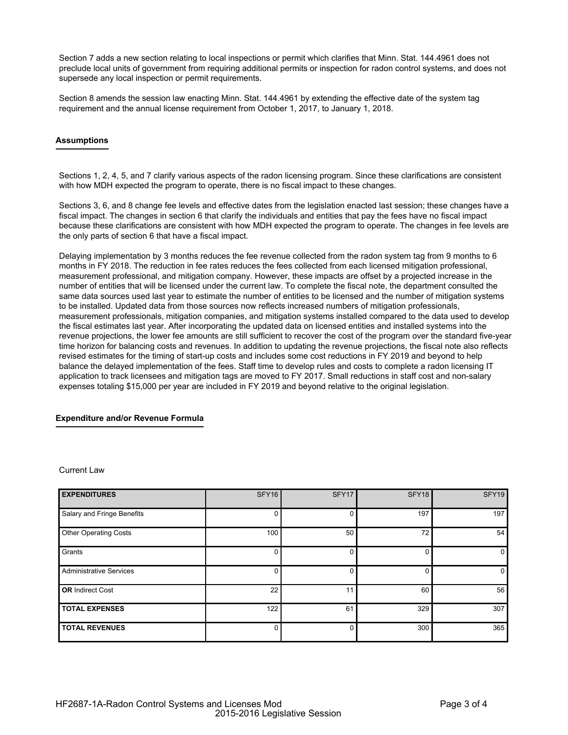Section 7 adds a new section relating to local inspections or permit which clarifies that Minn. Stat. 144.4961 does not preclude local units of government from requiring additional permits or inspection for radon control systems, and does not supersede any local inspection or permit requirements.

Section 8 amends the session law enacting Minn. Stat. 144.4961 by extending the effective date of the system tag requirement and the annual license requirement from October 1, 2017, to January 1, 2018.

# **Assumptions**

Sections 1, 2, 4, 5, and 7 clarify various aspects of the radon licensing program. Since these clarifications are consistent with how MDH expected the program to operate, there is no fiscal impact to these changes.

Sections 3, 6, and 8 change fee levels and effective dates from the legislation enacted last session; these changes have a fiscal impact. The changes in section 6 that clarify the individuals and entities that pay the fees have no fiscal impact because these clarifications are consistent with how MDH expected the program to operate. The changes in fee levels are the only parts of section 6 that have a fiscal impact.

Delaying implementation by 3 months reduces the fee revenue collected from the radon system tag from 9 months to 6 months in FY 2018. The reduction in fee rates reduces the fees collected from each licensed mitigation professional, measurement professional, and mitigation company. However, these impacts are offset by a projected increase in the number of entities that will be licensed under the current law. To complete the fiscal note, the department consulted the same data sources used last year to estimate the number of entities to be licensed and the number of mitigation systems to be installed. Updated data from those sources now reflects increased numbers of mitigation professionals, measurement professionals, mitigation companies, and mitigation systems installed compared to the data used to develop the fiscal estimates last year. After incorporating the updated data on licensed entities and installed systems into the revenue projections, the lower fee amounts are still sufficient to recover the cost of the program over the standard five-year time horizon for balancing costs and revenues. In addition to updating the revenue projections, the fiscal note also reflects revised estimates for the timing of start-up costs and includes some cost reductions in FY 2019 and beyond to help balance the delayed implementation of the fees. Staff time to develop rules and costs to complete a radon licensing IT application to track licensees and mitigation tags are moved to FY 2017. Small reductions in staff cost and non-salary expenses totaling \$15,000 per year are included in FY 2019 and beyond relative to the original legislation.

### **Expenditure and/or Revenue Formula**

#### Current Law

| <b>EXPENDITURES</b>            | <b>SFY16</b> | SFY17    | SFY18 | SFY19 |
|--------------------------------|--------------|----------|-------|-------|
| Salary and Fringe Benefits     | $\Omega$     | 0        | 197   | 197   |
| <b>Other Operating Costs</b>   | 100          | 50       | 72    | 54    |
| Grants                         | 0            | 0        |       | 0     |
| <b>Administrative Services</b> | 0            |          |       | 0     |
| <b>OR</b> Indirect Cost        | 22           | 11       | 60    | 56    |
| <b>TOTAL EXPENSES</b>          | 122          | 61       | 329   | 307   |
| <b>TOTAL REVENUES</b>          | 0            | $\Omega$ | 300   | 365   |